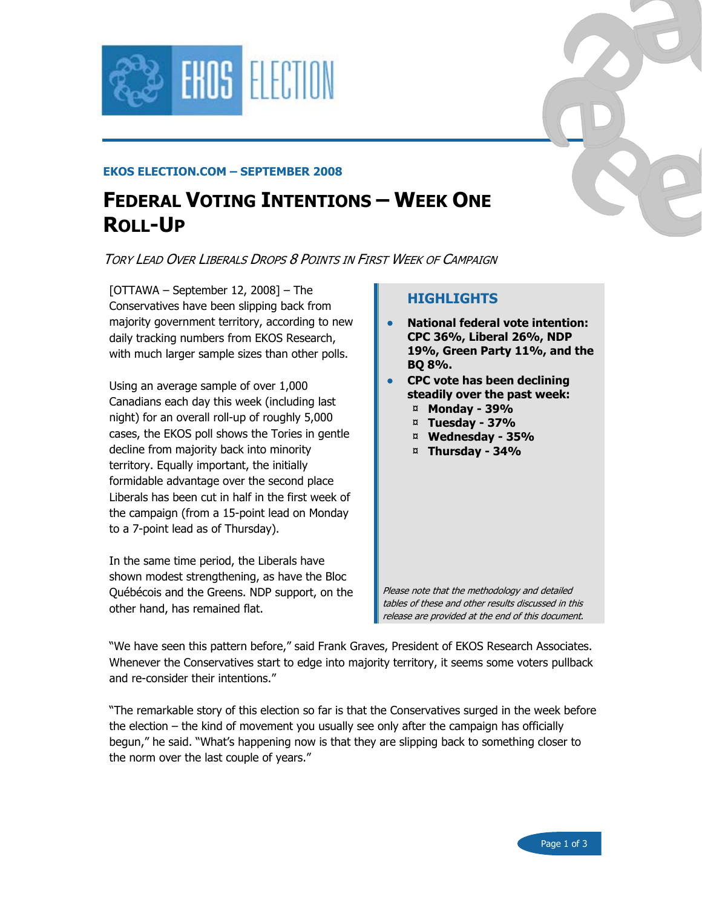

#### **EKOS ELECTION.COM – SEPTEMBER 2008**

# **FEDERAL VOTING INTENTIONS – WEEK ONE ROLL-UP**

### TORY LEAD OVER LIBERALS DROPS 8 POINTS IN FIRST WEEK OF CAMPAIGN

[OTTAWA – September 12, 2008] – The Conservatives have been slipping back from majority government territory, according to new daily tracking numbers from EKOS Research, with much larger sample sizes than other polls.

Using an average sample of over 1,000 Canadians each day this week (including last night) for an overall roll-up of roughly 5,000 cases, the EKOS poll shows the Tories in gentle decline from majority back into minority territory. Equally important, the initially formidable advantage over the second place Liberals has been cut in half in the first week of the campaign (from a 15-point lead on Monday to a 7-point lead as of Thursday).

In the same time period, the Liberals have shown modest strengthening, as have the Bloc Québécois and the Greens. NDP support, on the other hand, has remained flat.

### **HIGHLIGHTS**

- **National federal vote intention: CPC 36%, Liberal 26%, NDP 19%, Green Party 11%, and the BQ 8%.**
- **CPC vote has been declining steadily over the past week:**  ¤ **Monday - 39%** 
	- ¤ **Tuesday 37%**
	- ¤ **Wednesday 35%**
	- ¤ **Thursday 34%**

Please note that the methodology and detailed tables of these and other results discussed in this release are provided at the end of this document.

"We have seen this pattern before," said Frank Graves, President of EKOS Research Associates. Whenever the Conservatives start to edge into majority territory, it seems some voters pullback and re-consider their intentions."

"The remarkable story of this election so far is that the Conservatives surged in the week before the election – the kind of movement you usually see only after the campaign has officially begun," he said. "What's happening now is that they are slipping back to something closer to the norm over the last couple of years."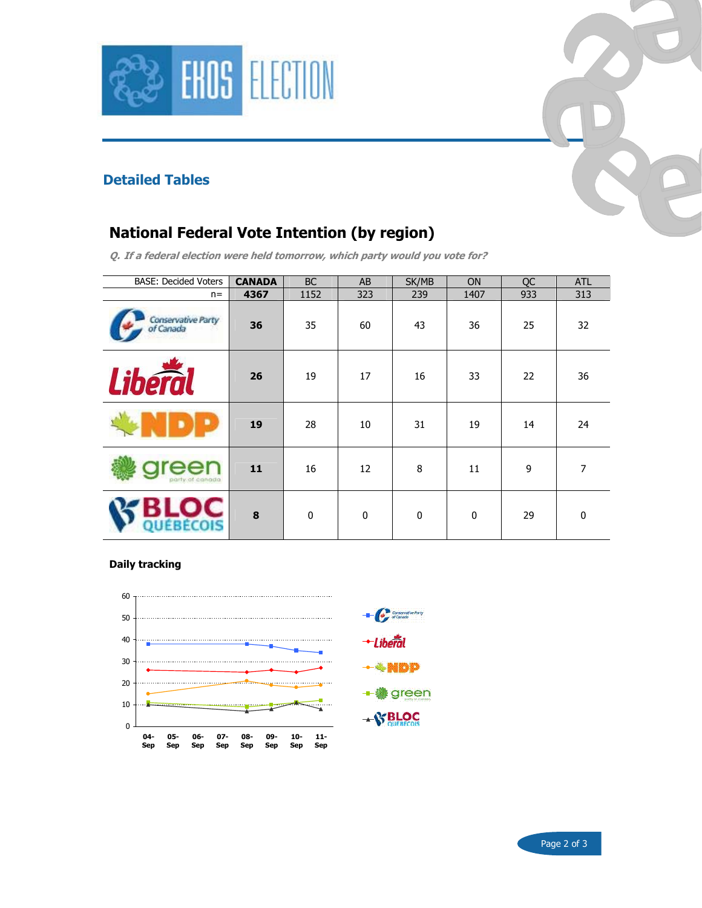



### **Detailed Tables**

# **National Federal Vote Intention (by region)**

**Q. If a federal election were held tomorrow, which party would you vote for?** 

| <b>BASE: Decided Voters</b>     | <b>CANADA</b> | <b>BC</b> | AB        | SK/MB     | <b>ON</b>   | QC  | <b>ATL</b>     |
|---------------------------------|---------------|-----------|-----------|-----------|-------------|-----|----------------|
| $n =$                           | 4367          | 1152      | 323       | 239       | 1407        | 933 | 313            |
| Conservative Party<br>of Canada | 36            | 35        | 60        | 43        | 36          | 25  | 32             |
| <b>Liberal</b>                  | 26            | 19        | 17        | 16        | 33          | 22  | 36             |
|                                 | 19            | 28        | 10        | 31        | 19          | 14  | 24             |
| party of canada                 | 11            | 16        | 12        | 8         | 11          | 9   | $\overline{7}$ |
| <b>EBÉCOIS</b>                  | 8             | $\pmb{0}$ | $\pmb{0}$ | $\pmb{0}$ | $\mathbf 0$ | 29  | $\mathbf 0$    |

#### **Daily tracking**